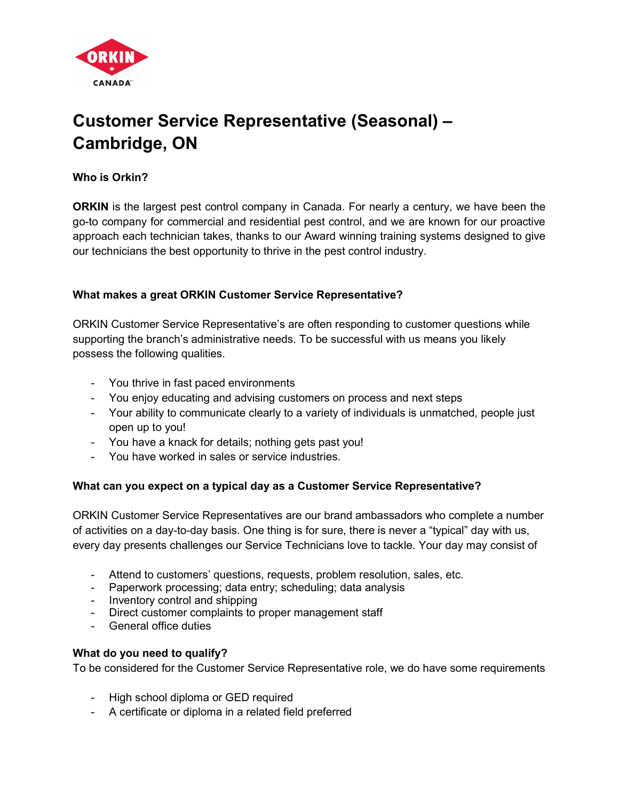

# Customer Service Representative (Seasonal) – Cambridge, ON

Who is Orkin?

**ORKIN** is the largest pest control company in Canada. For nearly a century, we have been the go-to company for commercial and residential pest control, and we are known for our proactive approach each technician takes, thanks to our Award winning training systems designed to give our technicians the best opportunity to thrive in the pest control industry.

## What makes a great ORKIN Customer Service Representative?

ORKIN Customer Service Representative's are often responding to customer questions while supporting the branch's administrative needs. To be successful with us means you likely possess the following qualities.

- You thrive in fast paced environments
- You enjoy educating and advising customers on process and next steps
- Your ability to communicate clearly to a variety of individuals is unmatched, people just open up to you!
- You have a knack for details; nothing gets past you!
- You have worked in sales or service industries.

#### What can you expect on a typical day as a Customer Service Representative?

ORKIN Customer Service Representatives are our brand ambassadors who complete a number of activities on a day-to-day basis. One thing is for sure, there is never a "typical" day with us, every day presents challenges our Service Technicians love to tackle. Your day may consist of

- Attend to customers' questions, requests, problem resolution, sales, etc.
- Paperwork processing; data entry; scheduling; data analysis
- Inventory control and shipping
- Direct customer complaints to proper management staff
- General office duties

#### What do you need to qualify?

To be considered for the Customer Service Representative role, we do have some requirements

- High school diploma or GED required
- A certificate or diploma in a related field preferred